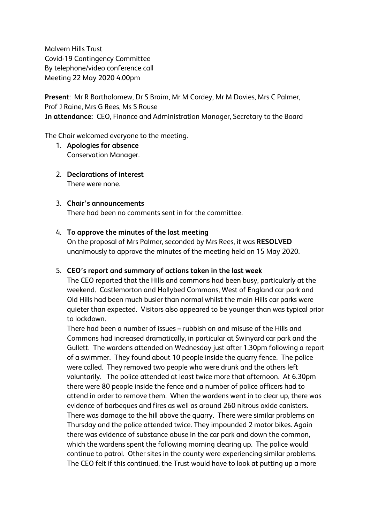Malvern Hills Trust Covid-19 Contingency Committee By telephone/video conference call Meeting 22 May 2020 4.00pm

**Present**: Mr R Bartholomew, Dr S Braim, Mr M Cordey, Mr M Davies, Mrs C Palmer, Prof J Raine, Mrs G Rees, Ms S Rouse **In attendance:** CEO, Finance and Administration Manager, Secretary to the Board

The Chair welcomed everyone to the meeting.

- 1. **Apologies for absence** Conservation Manager.
- 2. **Declarations of interest** There were none.
- 3. **Chair's announcements** There had been no comments sent in for the committee.

### 4. **To approve the minutes of the last meeting**

On the proposal of Mrs Palmer, seconded by Mrs Rees, it was **RESOLVED** unanimously to approve the minutes of the meeting held on 15 May 2020.

### 5. **CEO's report and summary of actions taken in the last week**

The CEO reported that the Hills and commons had been busy, particularly at the weekend. Castlemorton and Hollybed Commons, West of England car park and Old Hills had been much busier than normal whilst the main Hills car parks were quieter than expected. Visitors also appeared to be younger than was typical prior to lockdown.

There had been a number of issues – rubbish on and misuse of the Hills and Commons had increased dramatically, in particular at Swinyard car park and the Gullett. The wardens attended on Wednesday just after 1.30pm following a report of a swimmer. They found about 10 people inside the quarry fence. The police were called. They removed two people who were drunk and the others left voluntarily. The police attended at least twice more that afternoon. At 6.30pm there were 80 people inside the fence and a number of police officers had to attend in order to remove them. When the wardens went in to clear up, there was evidence of barbeques and fires as well as around 260 nitrous oxide canisters. There was damage to the hill above the quarry. There were similar problems on Thursday and the police attended twice. They impounded 2 motor bikes. Again there was evidence of substance abuse in the car park and down the common, which the wardens spent the following morning clearing up. The police would continue to patrol. Other sites in the county were experiencing similar problems. The CEO felt if this continued, the Trust would have to look at putting up a more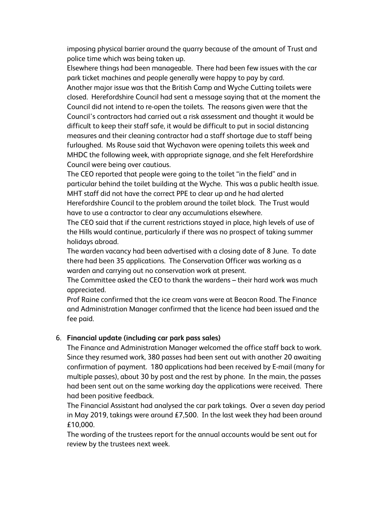imposing physical barrier around the quarry because of the amount of Trust and police time which was being taken up.

Elsewhere things had been manageable. There had been few issues with the car park ticket machines and people generally were happy to pay by card. Another major issue was that the British Camp and Wyche Cutting toilets were closed. Herefordshire Council had sent a message saying that at the moment the Council did not intend to re-open the toilets. The reasons given were that the Council's contractors had carried out a risk assessment and thought it would be difficult to keep their staff safe, it would be difficult to put in social distancing measures and their cleaning contractor had a staff shortage due to staff being furloughed. Ms Rouse said that Wychavon were opening toilets this week and MHDC the following week, with appropriate signage, and she felt Herefordshire

Council were being over cautious.

The CEO reported that people were going to the toilet "in the field" and in particular behind the toilet building at the Wyche. This was a public health issue. MHT staff did not have the correct PPE to clear up and he had alerted Herefordshire Council to the problem around the toilet block. The Trust would

have to use a contractor to clear any accumulations elsewhere.

The CEO said that if the current restrictions stayed in place, high levels of use of the Hills would continue, particularly if there was no prospect of taking summer holidays abroad.

The warden vacancy had been advertised with a closing date of 8 June. To date there had been 35 applications. The Conservation Officer was working as a warden and carrying out no conservation work at present.

The Committee asked the CEO to thank the wardens – their hard work was much appreciated.

Prof Raine confirmed that the ice cream vans were at Beacon Road. The Finance and Administration Manager confirmed that the licence had been issued and the fee paid.

# 6. **Financial update (including car park pass sales)**

The Finance and Administration Manager welcomed the office staff back to work. Since they resumed work, 380 passes had been sent out with another 20 awaiting confirmation of payment. 180 applications had been received by E-mail (many for multiple passes), about 30 by post and the rest by phone. In the main, the passes had been sent out on the same working day the applications were received. There had been positive feedback.

The Financial Assistant had analysed the car park takings. Over a seven day period in May 2019, takings were around £7,500. In the last week they had been around £10,000.

The wording of the trustees report for the annual accounts would be sent out for review by the trustees next week.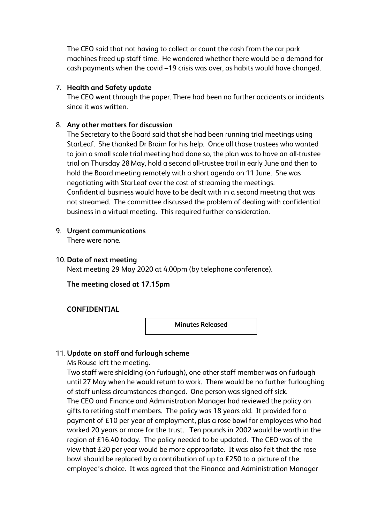The CEO said that not having to collect or count the cash from the car park machines freed up staff time. He wondered whether there would be a demand for cash payments when the covid –19 crisis was over, as habits would have changed.

## 7. **Health and Safety update**

The CEO went through the paper. There had been no further accidents or incidents since it was written.

## 8. **Any other matters for discussion**

The Secretary to the Board said that she had been running trial meetings using StarLeaf. She thanked Dr Braim for his help. Once all those trustees who wanted to join a small scale trial meeting had done so, the plan was to have an all-trustee trial on Thursday 28May, hold a second all-trustee trail in early June and then to hold the Board meeting remotely with a short agenda on 11 June. She was negotiating with StarLeaf over the cost of streaming the meetings. Confidential business would have to be dealt with in a second meeting that was not streamed. The committee discussed the problem of dealing with confidential business in a virtual meeting. This required further consideration.

9. **Urgent communications**

There were none.

### 10. **Date of next meeting**

Next meeting 29 May 2020 at 4.00pm (by telephone conference).

### **The meeting closed at 17.15pm**

### **CONFIDENTIAL**

**Minutes Released**

# 11. **Update on staff and furlough scheme**

Ms Rouse left the meeting.

Two staff were shielding (on furlough), one other staff member was on furlough until 27 May when he would return to work. There would be no further furloughing of staff unless circumstances changed. One person was signed off sick. The CEO and Finance and Administration Manager had reviewed the policy on gifts to retiring staff members. The policy was 18 years old. It provided for a payment of £10 per year of employment, plus a rose bowl for employees who had worked 20 years or more for the trust. Ten pounds in 2002 would be worth in the region of £16.40 today. The policy needed to be updated. The CEO was of the view that £20 per year would be more appropriate. It was also felt that the rose bowl should be replaced by a contribution of up to £250 to a picture of the employee's choice. It was agreed that the Finance and Administration Manager